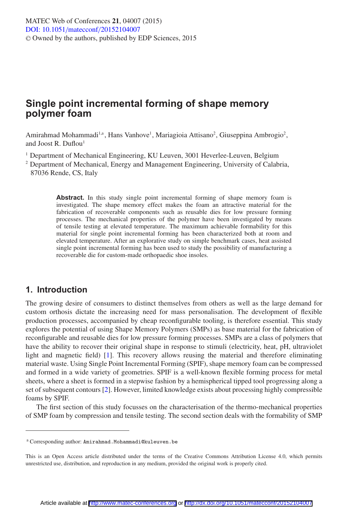# **Single point incremental forming of shape memory polymer foam**

Amirahmad Mohammadi<sup>1,a</sup>, Hans Vanhove<sup>1</sup>, Mariagioia Attisano<sup>2</sup>, Giuseppina Ambrogio<sup>2</sup>, and Joost R. Duflou<sup>1</sup>

<sup>1</sup> Department of Mechanical Engineering, KU Leuven, 3001 Heverlee-Leuven, Belgium

<sup>2</sup> Department of Mechanical, Energy and Management Engineering, University of Calabria, 87036 Rende, CS, Italy

> **Abstract.** In this study single point incremental forming of shape memory foam is investigated. The shape memory effect makes the foam an attractive material for the fabrication of recoverable components such as reusable dies for low pressure forming processes. The mechanical properties of the polymer have been investigated by means of tensile testing at elevated temperature. The maximum achievable formability for this material for single point incremental forming has been characterized both at room and elevated temperature. After an explorative study on simple benchmark cases, heat assisted single point incremental forming has been used to study the possibility of manufacturing a recoverable die for custom-made orthopaedic shoe insoles.

# **1. Introduction**

The growing desire of consumers to distinct themselves from others as well as the large demand for custom orthosis dictate the increasing need for mass personalisation. The development of flexible production processes, accompanied by cheap reconfigurable tooling, is therefore essential. This study explores the potential of using Shape Memory Polymers (SMPs) as base material for the fabrication of reconfigurable and reusable dies for low pressure forming processes. SMPs are a class of polymers that have the ability to recover their original shape in response to stimuli (electricity, heat, pH, ultraviolet light and magnetic field) [\[1](#page-6-0)]. This recovery allows reusing the material and therefore eliminating material waste. Using Single Point Incremental Forming (SPIF), shape memory foam can be compressed and formed in a wide variety of geometries. SPIF is a well-known flexible forming process for metal sheets, where a sheet is formed in a stepwise fashion by a hemispherical tipped tool progressing along a set of subsequent contours [\[2\]](#page-6-1). However, limited knowledge exists about processing highly compressible foams by SPIF.

The first section of this study focusses on the characterisation of the thermo-mechanical properties of SMP foam by compression and tensile testing. The second section deals with the formability of SMP

<sup>a</sup> Corresponding author: Amirahmad.Mohammadi@kuleuven.be

This is an Open Access article distributed under the terms of the Creative Commons Attribution License 4.0, which permits unrestricted use, distribution, and reproduction in any medium, provided the original work is properly cited.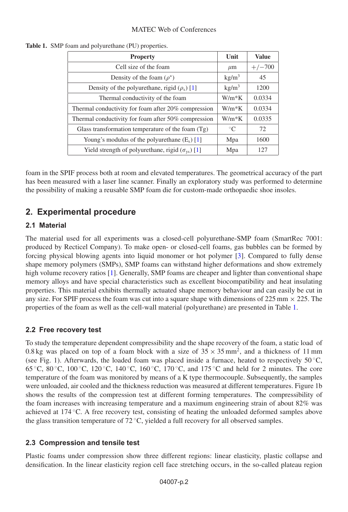| <b>Property</b>                                             | Unit              | <b>Value</b> |
|-------------------------------------------------------------|-------------------|--------------|
| Cell size of the foam                                       | $\mu$ m           | $+/-700$     |
| Density of the foam $(\rho^*)$                              | kg/m <sup>3</sup> | 45           |
| Density of the polyurethane, rigid $(\rho_s)$ [1]           | kg/m <sup>3</sup> | 1200         |
| Thermal conductivity of the foam                            | $W/m*K$           | 0.0334       |
| Thermal conductivity for foam after 20% compression         | $W/m*K$           | 0.0334       |
| Thermal conductivity for foam after 50% compression         | $W/m*K$           | 0.0335       |
| Glass transformation temperature of the foam (Tg)           | $\rm ^{\circ}C$   | 72           |
| Young's modulus of the polyurethane $(E_s)$ [1]             | Mpa               | 1600         |
| Yield strength of polyurethane, rigid ( $\sigma_{vs}$ ) [1] | Mpa               | 127          |

<span id="page-1-0"></span>Table 1. SMP foam and polyurethane (PU) properties.

foam in the SPIF process both at room and elevated temperatures. The geometrical accuracy of the part has been measured with a laser line scanner. Finally an exploratory study was performed to determine the possibility of making a reusable SMP foam die for custom-made orthopaedic shoe insoles.

# **2. Experimental procedure**

### **2.1 Material**

The material used for all experiments was a closed-cell polyurethane-SMP foam (SmartRec 7001: produced by Recticel Company). To make open- or closed-cell foams, gas bubbles can be formed by forcing physical blowing agents into liquid monomer or hot polymer [\[3](#page-6-2)]. Compared to fully dense shape memory polymers (SMPs), SMP foams can withstand higher deformations and show extremely high volume recovery ratios [\[1](#page-6-0)]. Generally, SMP foams are cheaper and lighter than conventional shape memory alloys and have special characteristics such as excellent biocompatibility and heat insulating properties. This material exhibits thermally actuated shape memory behaviour and can easily be cut in any size. For SPIF process the foam was cut into a square shape with dimensions of 225 mm  $\times$  225. The properties of the foam as well as the cell-wall material (polyurethane) are presented in Table [1.](#page-1-0)

### **2.2 Free recovery test**

To study the temperature dependent compressibility and the shape recovery of the foam, a static load of 0.8 kg was placed on top of a foam block with a size of  $35 \times 35$  mm<sup>2</sup>, and a thickness of 11 mm (see Fig. 1). Afterwards, the loaded foam was placed inside a furnace, heated to respectively  $50^{\circ}$ C, 65 °C, 80 °C, 100 °C, 120 °C, 140 °C, 160 °C, 170 °C, and 175 °C and held for 2 minutes. The core temperature of the foam was monitored by means of a K type thermocouple. Subsequently, the samples were unloaded, air cooled and the thickness reduction was measured at different temperatures. Figure 1b shows the results of the compression test at different forming temperatures. The compressibility of the foam increases with increasing temperature and a maximum engineering strain of about 82% was achieved at 174 ◦C. A free recovery test, consisting of heating the unloaded deformed samples above the glass transition temperature of  $72^{\circ}$ C, yielded a full recovery for all observed samples.

### **2.3 Compression and tensile test**

Plastic foams under compression show three different regions: linear elasticity, plastic collapse and densification. In the linear elasticity region cell face stretching occurs, in the so-called plateau region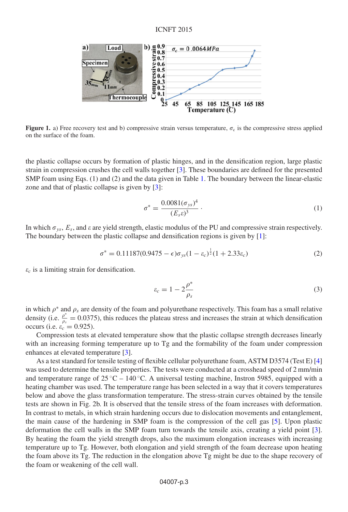#### ICNFT 2015



**Figure 1.** a) Free recovery test and b) compressive strain versus temperature,  $\sigma_c$  is the compressive stress applied on the surface of the foam.

the plastic collapse occurs by formation of plastic hinges, and in the densification region, large plastic strain in compression crushes the cell walls together [\[3](#page-6-2)]. These boundaries are defined for the presented SMP foam using Eqs. (1) and (2) and the data given in Table [1.](#page-1-0) The boundary between the linear-elastic zone and that of plastic collapse is given by [\[3\]](#page-6-2):

$$
\sigma^* = \frac{0.0081(\sigma_{ys})^4}{(E_s \varepsilon)^3} \,. \tag{1}
$$

In which  $\sigma_{\gamma s}$ ,  $E_s$ , and  $\varepsilon$  are yield strength, elastic modulus of the PU and compressive strain respectively. The boundary between the plastic collapse and densification regions is given by [\[1\]](#page-6-0):

$$
\sigma^* = 0.11187(0.9475 - \epsilon)\sigma_{ys}(1 - \varepsilon_c)^{\frac{1}{2}}(1 + 2.33\varepsilon_c)
$$
 (2)

 $\varepsilon_c$  is a limiting strain for densification.

$$
\varepsilon_c = 1 - 2 \frac{\rho^*}{\rho_s} \tag{3}
$$

in which  $\rho^*$  and  $\rho_s$  are density of the foam and polyurethane respectively. This foam has a small relative density (i.e.  $\frac{p^*}{\rho_s} = 0.0375$ ), this reduces the plateau stress and increases the strain at which densification occurs (i.e.  $\varepsilon_c = 0.925$ ).

Compression tests at elevated temperature show that the plastic collapse strength decreases linearly with an increasing forming temperature up to Tg and the formability of the foam under compression enhances at elevated temperature [\[3\]](#page-6-2).

As a test standard for tensile testing of flexible cellular polyurethane foam, ASTM D3574 (Test E) [\[4](#page-6-3)] was used to determine the tensile properties. The tests were conducted at a crosshead speed of 2 mm/min and temperature range of  $25^{\circ}\text{C} - 140^{\circ}\text{C}$ . A universal testing machine, Instron 5985, equipped with a heating chamber was used. The temperature range has been selected in a way that it covers temperatures below and above the glass transformation temperature. The stress-strain curves obtained by the tensile tests are shown in Fig. 2b. It is observed that the tensile stress of the foam increases with deformation. In contrast to metals, in which strain hardening occurs due to dislocation movements and entanglement, the main cause of the hardening in SMP foam is the compression of the cell gas [\[5\]](#page-6-4). Upon plastic deformation the cell walls in the SMP foam turn towards the tensile axis, creating a yield point [\[3\]](#page-6-2). By heating the foam the yield strength drops, also the maximum elongation increases with increasing temperature up to Tg. However, both elongation and yield strength of the foam decrease upon heating the foam above its Tg. The reduction in the elongation above Tg might be due to the shape recovery of the foam or weakening of the cell wall.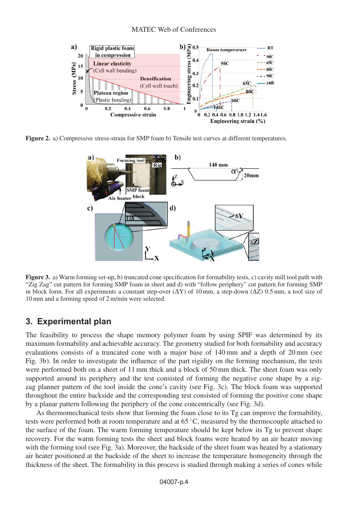

**Figure 2.** a) Compressive stress-strain for SMP foam b) Tensile test curves at different temperatures.



**Figure 3.** a) Warm forming set-up, b) truncated cone specification for formability tests, c) cavity mill tool path with "Zig Zag" cut pattern for forming SMP foam in sheet and d) with "follow periphery" cut pattern for forming SMP in block form. For all experiments a constant step-over  $(\Delta Y)$  of 10 mm, a step-down  $(\Delta Z)$  0.5 mm, a tool size of 10 mm and a forming speed of 2 m/min were selected.

### **3. Experimental plan**

The feasibility to process the shape memory polymer foam by using SPIF was determined by its maximum formability and achievable accuracy. The geometry studied for both formability and accuracy evaluations consists of a truncated cone with a major base of 140 mm and a depth of 20 mm (see Fig. 3b). In order to investigate the influence of the part rigidity on the forming mechanism, the tests were performed both on a sheet of 11 mm thick and a block of 50 mm thick. The sheet foam was only supported around its periphery and the test consisted of forming the negative cone shape by a zigzag planner pattern of the tool inside the cone's cavity (see Fig. 3c). The block foam was supported throughout the entire backside and the corresponding test consisted of forming the positive cone shape by a planar pattern following the periphery of the cone concentrically (see Fig. 3d).

As thermomechanical tests show that forming the foam close to its Tg can improve the formability, tests were performed both at room temperature and at 65 ◦C, measured by the thermocouple attached to the surface of the foam. The warm forming temperature should be kept below its Tg to prevent shape recovery. For the warm forming tests the sheet and block foams were heated by an air heater moving with the forming tool (see Fig. 3a). Moreover, the backside of the sheet foam was heated by a stationary air heater positioned at the backside of the sheet to increase the temperature homogeneity through the thickness of the sheet. The formability in this process is studied through making a series of cones while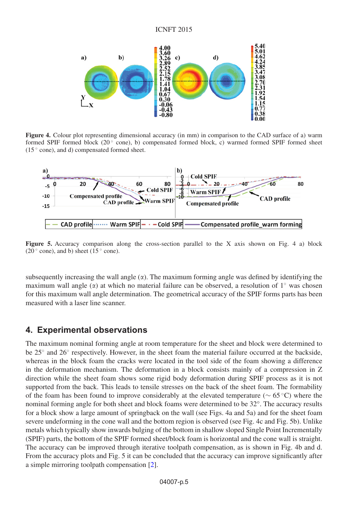

**Figure 4.** Colour plot representing dimensional accuracy (in mm) in comparison to the CAD surface of a) warm formed SPIF formed block (20 ◦ cone), b) compensated formed block, c) warmed formed SPIF formed sheet  $(15° \text{ cone})$ , and d) compensated formed sheet.



**Figure 5.** Accuracy comparison along the cross-section parallel to the X axis shown on Fig. 4 a) block (20 $\degree$  cone), and b) sheet (15 $\degree$  cone).

subsequently increasing the wall angle  $(x)$ . The maximum forming angle was defined by identifying the maximum wall angle ( $\alpha$ ) at which no material failure can be observed, a resolution of 1<sup>°</sup> was chosen for this maximum wall angle determination. The geometrical accuracy of the SPIF forms parts has been measured with a laser line scanner.

### **4. Experimental observations**

The maximum nominal forming angle at room temperature for the sheet and block were determined to be 25◦ and 26◦ respectively. However, in the sheet foam the material failure occurred at the backside, whereas in the block foam the cracks were located in the tool side of the foam showing a difference in the deformation mechanism. The deformation in a block consists mainly of a compression in Z direction while the sheet foam shows some rigid body deformation during SPIF process as it is not supported from the back. This leads to tensile stresses on the back of the sheet foam. The formability of the foam has been found to improve considerably at the elevated temperature ( $\sim 65^{\circ}$ C) where the nominal forming angle for both sheet and block foams were determined to be 32°. The accuracy results for a block show a large amount of springback on the wall (see Figs. 4a and 5a) and for the sheet foam severe undeforming in the cone wall and the bottom region is observed (see Fig. 4c and Fig. 5b). Unlike metals which typically show inwards bulging of the bottom in shallow sloped Single Point Incrementally (SPIF) parts, the bottom of the SPIF formed sheet/block foam is horizontal and the cone wall is straight. The accuracy can be improved through iterative toolpath compensation, as is shown in Fig. 4b and d. From the accuracy plots and Fig. 5 it can be concluded that the accuracy can improve significantly after a simple mirroring toolpath compensation [\[2](#page-6-1)].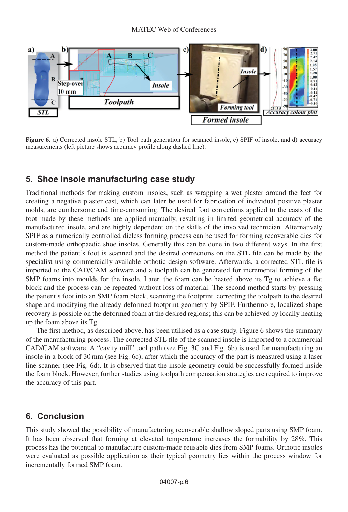

**Figure 6.** a) Corrected insole STL, b) Tool path generation for scanned insole, c) SPIF of insole, and d) accuracy measurements (left picture shows accuracy profile along dashed line).

# **5. Shoe insole manufacturing case study**

Traditional methods for making custom insoles, such as wrapping a wet plaster around the feet for creating a negative plaster cast, which can later be used for fabrication of individual positive plaster molds, are cumbersome and time-consuming. The desired foot corrections applied to the casts of the foot made by these methods are applied manually, resulting in limited geometrical accuracy of the manufactured insole, and are highly dependent on the skills of the involved technician. Alternatively SPIF as a numerically controlled dieless forming process can be used for forming recoverable dies for custom-made orthopaedic shoe insoles. Generally this can be done in two different ways. In the first method the patient's foot is scanned and the desired corrections on the STL file can be made by the specialist using commercially available orthotic design software. Afterwards, a corrected STL file is imported to the CAD/CAM software and a toolpath can be generated for incremental forming of the SMP foams into moulds for the insole. Later, the foam can be heated above its Tg to achieve a flat block and the process can be repeated without loss of material. The second method starts by pressing the patient's foot into an SMP foam block, scanning the footprint, correcting the toolpath to the desired shape and modifying the already deformed footprint geometry by SPIF. Furthermore, localized shape recovery is possible on the deformed foam at the desired regions; this can be achieved by locally heating up the foam above its Tg.

The first method, as described above, has been utilised as a case study. Figure 6 shows the summary of the manufacturing process. The corrected STL file of the scanned insole is imported to a commercial CAD/CAM software. A "cavity mill" tool path (see Fig. 3C and Fig. 6b) is used for manufacturing an insole in a block of 30 mm (see Fig. 6c), after which the accuracy of the part is measured using a laser line scanner (see Fig. 6d). It is observed that the insole geometry could be successfully formed inside the foam block. However, further studies using toolpath compensation strategies are required to improve the accuracy of this part.

# **6. Conclusion**

This study showed the possibility of manufacturing recoverable shallow sloped parts using SMP foam. It has been observed that forming at elevated temperature increases the formability by 28%. This process has the potential to manufacture custom-made reusable dies from SMP foams. Orthotic insoles were evaluated as possible application as their typical geometry lies within the process window for incrementally formed SMP foam.